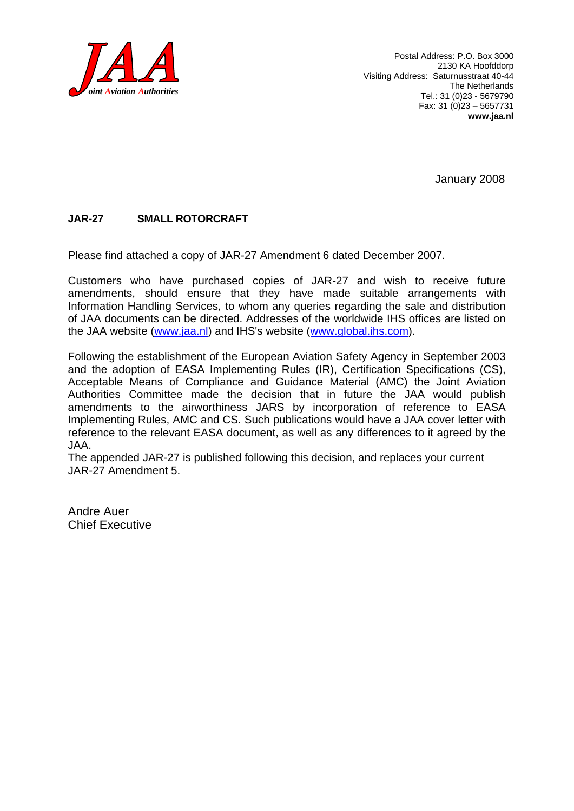

January 2008

#### **JAR-27 SMALL ROTORCRAFT**

Please find attached a copy of JAR-27 Amendment 6 dated December 2007.

Customers who have purchased copies of JAR-27 and wish to receive future amendments, should ensure that they have made suitable arrangements with Information Handling Services, to whom any queries regarding the sale and distribution of JAA documents can be directed. Addresses of the worldwide IHS offices are listed on the JAA website (www.jaa.nl) and IHS's website (www.global.ihs.com).

Following the establishment of the European Aviation Safety Agency in September 2003 and the adoption of EASA Implementing Rules (IR), Certification Specifications (CS), Acceptable Means of Compliance and Guidance Material (AMC) the Joint Aviation Authorities Committee made the decision that in future the JAA would publish amendments to the airworthiness JARS by incorporation of reference to EASA Implementing Rules, AMC and CS. Such publications would have a JAA cover letter with reference to the relevant EASA document, as well as any differences to it agreed by the JAA.

The appended JAR-27 is published following this decision, and replaces your current JAR-27 Amendment 5.

Andre Auer Chief Executive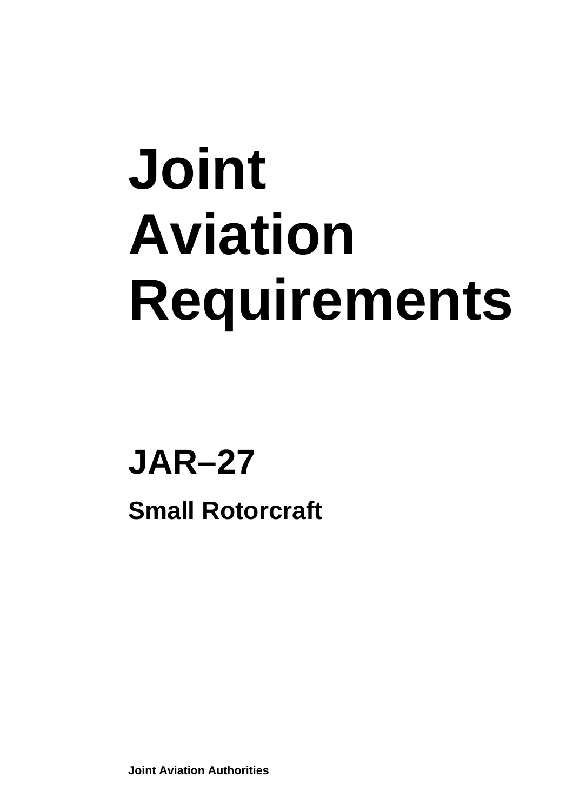# **Joint Aviation Requirements**

## **JAR–27 Small Rotorcraft**

**Joint Aviation Authorities**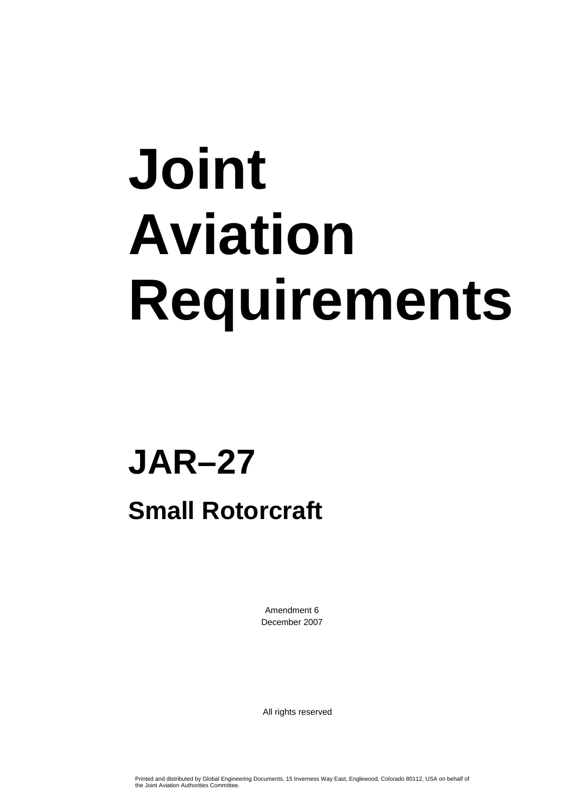# **Joint Aviation Requirements**

## **JAR–27**

### **Small Rotorcraft**

Amendment 6 December 2007

All rights reserved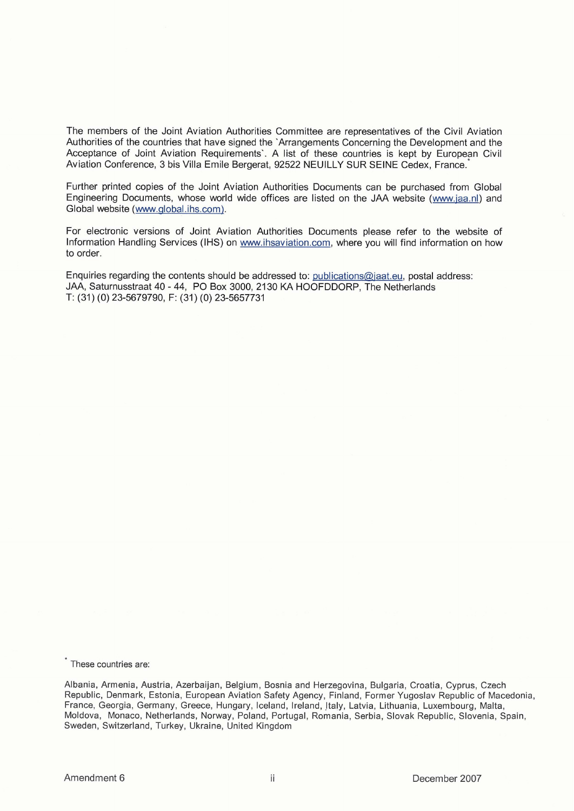The members of the Joint Aviation Authorities Committee are representatives of the Civil Aviation Authorities of the countries that have signed the 'Arrangements Concerning the Development and the Acceptance of Joint Aviation Requirements'. A list of these countries is kept by European Civil Aviation Conference, 3 bis Villa Emile Bergerat, 92522 NEUILLY SUR SEINE Cedex, France.

Further printed copies of the Joint Aviation Authorities Documents can be purchased from Global Engineering Documents, whose world wide offices are listed on the JAA website (www.iaa.nl) and Global website (www.alobal.ihs.com).

For electronic versions of Joint Aviation Authorities Documents please refer to the website of Information Handling Services (IHS) on www.ihsaviation.com, where you will find information on how to order.

Enquiries regarding the contents should be addressed to: publications@iaat.eu, postal address: JAA, Saturnusstraat 40 - 44, PO Box 3000, 2130 KA HOOFDDORP, The Netherlands T: (31) (0) 23-5679790, F: (31) (0) 23-5657731

These countries are:

Albania, Armenia, Austria, Azerbaijan, Belgium, Bosnia and Herzegovina, Bulgaria, Croatia, Cyprus, Czech Republic, Denmark, Estonia, European Aviation Safety Agency, Finland, Former Yugoslav Republic of Macedonia, France, Georgia, Germany, Greece, Hungary, Iceland, Ireland, Italy, Latvia, Lithuania, Luxembourg, Malta, Moldova, Monaco, Netherlands, Norway, Poland, Portugal, Romania, Serbia, Slovak Republic, Slovenia, Spain, Sweden, Switzerland, Turkey, Ukraine, United Kingdom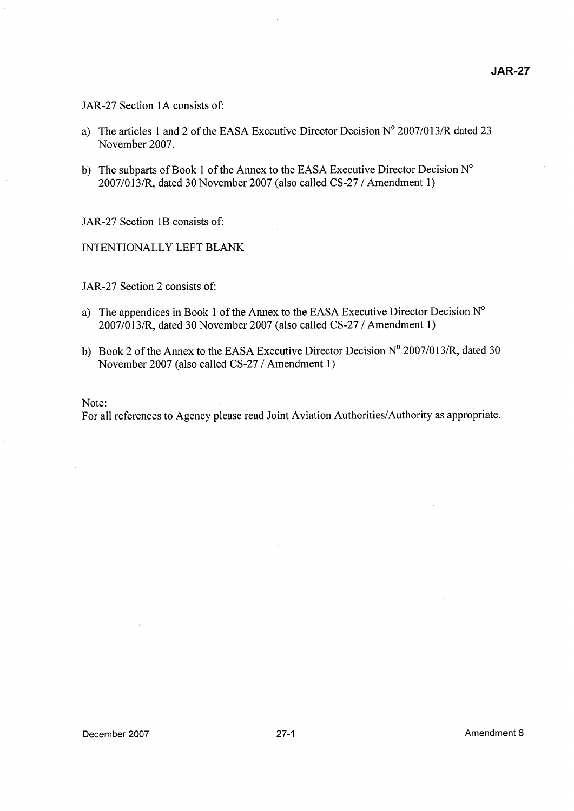#### JAR-27 Section 1A consists of:

- a) The articles 1 and 2 of the EASA Executive Director Decision  $N^{\circ}$  2007/013/R dated 23 November 2007.
- b) The subparts of Book 1 of the Annex to the EASA Executive Director Decision  $N^{\circ}$ 2007/013/R, dated 30 November 2007 (also called CS-27 / Amendment 1)

JAR-27 Section 1B consists of:

INTENTIONALLY LEFT BLANK

JAR-27 Section 2 consists of:

- a) The appendices in Book 1 of the Annex to the EASA Executive Director Decision  $N^{\circ}$ 2007101 3/R, dated 30 November 2007 (also called CS-27 I Amendment 1)
- b) Book 2 of the Annex to the EASA Executive Director Decision  $N^{\circ}$  2007/013/R, dated 30 November 2007 (also called CS-27 / Amendment 1)

Note:

For all references to Agency please read Joint Aviation Authorities/Authority as appropriate.